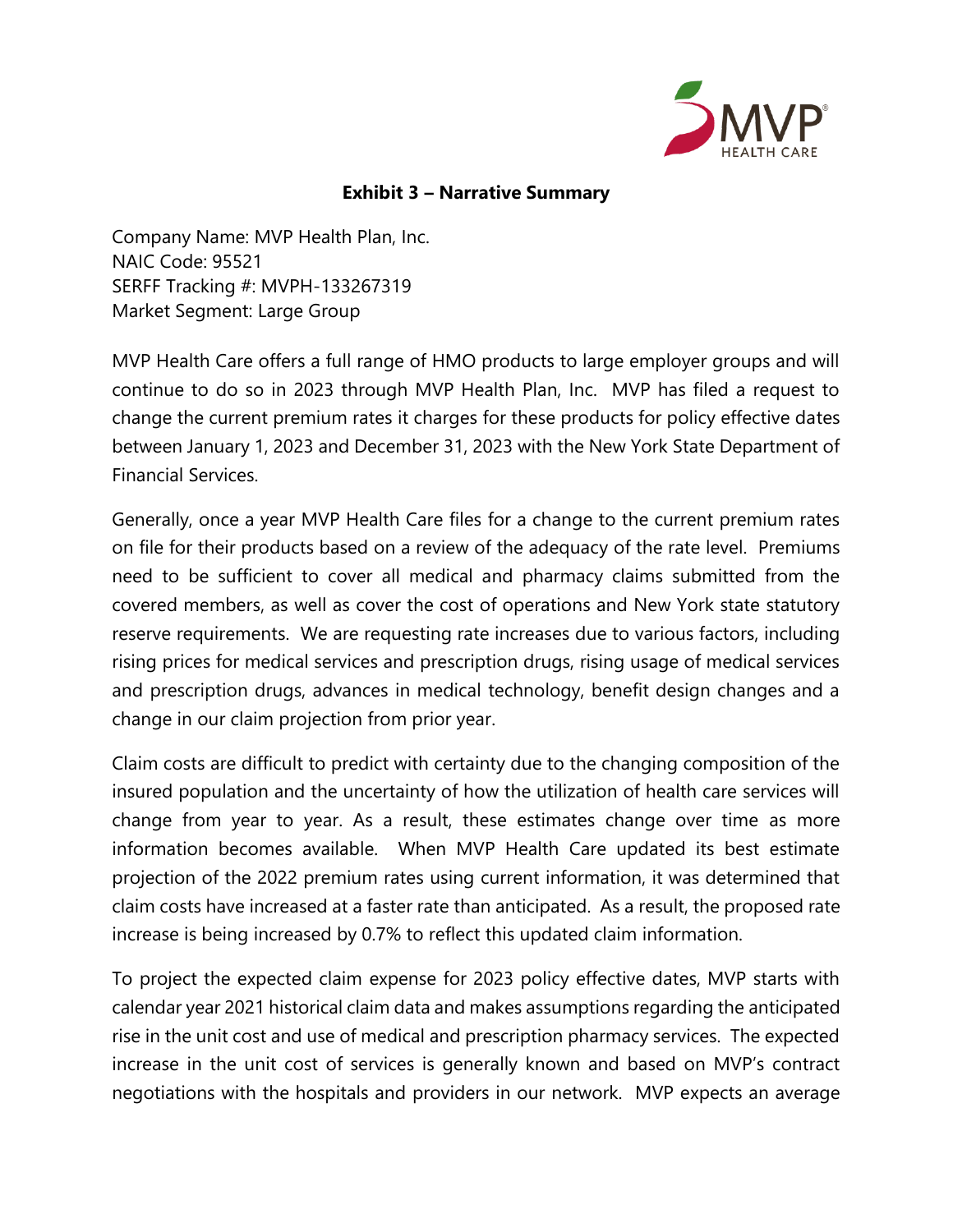

## **Exhibit 3 – Narrative Summary**

Company Name: MVP Health Plan, Inc. NAIC Code: 95521 SERFF Tracking #: MVPH-133267319 Market Segment: Large Group

MVP Health Care offers a full range of HMO products to large employer groups and will continue to do so in 2023 through MVP Health Plan, Inc. MVP has filed a request to change the current premium rates it charges for these products for policy effective dates between January 1, 2023 and December 31, 2023 with the New York State Department of Financial Services.

Generally, once a year MVP Health Care files for a change to the current premium rates on file for their products based on a review of the adequacy of the rate level. Premiums need to be sufficient to cover all medical and pharmacy claims submitted from the covered members, as well as cover the cost of operations and New York state statutory reserve requirements. We are requesting rate increases due to various factors, including rising prices for medical services and prescription drugs, rising usage of medical services and prescription drugs, advances in medical technology, benefit design changes and a change in our claim projection from prior year.

Claim costs are difficult to predict with certainty due to the changing composition of the insured population and the uncertainty of how the utilization of health care services will change from year to year. As a result, these estimates change over time as more information becomes available. When MVP Health Care updated its best estimate projection of the 2022 premium rates using current information, it was determined that claim costs have increased at a faster rate than anticipated. As a result, the proposed rate increase is being increased by 0.7% to reflect this updated claim information.

To project the expected claim expense for 2023 policy effective dates, MVP starts with calendar year 2021 historical claim data and makes assumptions regarding the anticipated rise in the unit cost and use of medical and prescription pharmacy services. The expected increase in the unit cost of services is generally known and based on MVP's contract negotiations with the hospitals and providers in our network. MVP expects an average